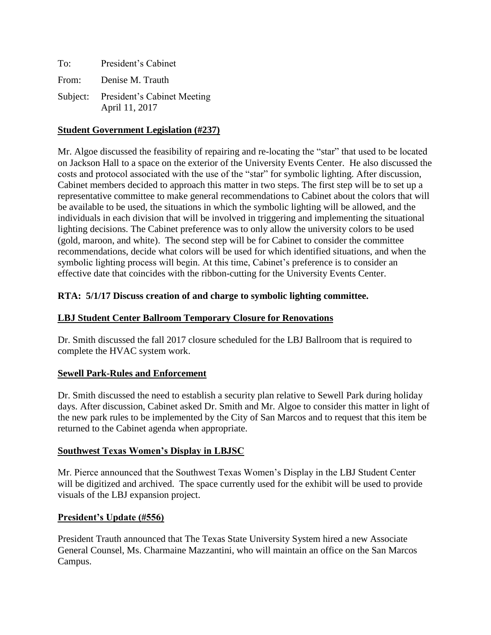| To: | President's Cabinet                                    |
|-----|--------------------------------------------------------|
|     | From: Denise M. Trauth                                 |
|     | Subject: President's Cabinet Meeting<br>April 11, 2017 |

# **Student Government Legislation (#237)**

Mr. Algoe discussed the feasibility of repairing and re-locating the "star" that used to be located on Jackson Hall to a space on the exterior of the University Events Center. He also discussed the costs and protocol associated with the use of the "star" for symbolic lighting. After discussion, Cabinet members decided to approach this matter in two steps. The first step will be to set up a representative committee to make general recommendations to Cabinet about the colors that will be available to be used, the situations in which the symbolic lighting will be allowed, and the individuals in each division that will be involved in triggering and implementing the situational lighting decisions. The Cabinet preference was to only allow the university colors to be used (gold, maroon, and white). The second step will be for Cabinet to consider the committee recommendations, decide what colors will be used for which identified situations, and when the symbolic lighting process will begin. At this time, Cabinet's preference is to consider an effective date that coincides with the ribbon-cutting for the University Events Center.

#### **RTA: 5/1/17 Discuss creation of and charge to symbolic lighting committee.**

### **LBJ Student Center Ballroom Temporary Closure for Renovations**

Dr. Smith discussed the fall 2017 closure scheduled for the LBJ Ballroom that is required to complete the HVAC system work.

#### **Sewell Park-Rules and Enforcement**

Dr. Smith discussed the need to establish a security plan relative to Sewell Park during holiday days. After discussion, Cabinet asked Dr. Smith and Mr. Algoe to consider this matter in light of the new park rules to be implemented by the City of San Marcos and to request that this item be returned to the Cabinet agenda when appropriate.

#### **Southwest Texas Women's Display in LBJSC**

Mr. Pierce announced that the Southwest Texas Women's Display in the LBJ Student Center will be digitized and archived. The space currently used for the exhibit will be used to provide visuals of the LBJ expansion project.

#### **President's Update (#556)**

President Trauth announced that The Texas State University System hired a new Associate General Counsel, Ms. Charmaine Mazzantini, who will maintain an office on the San Marcos Campus.